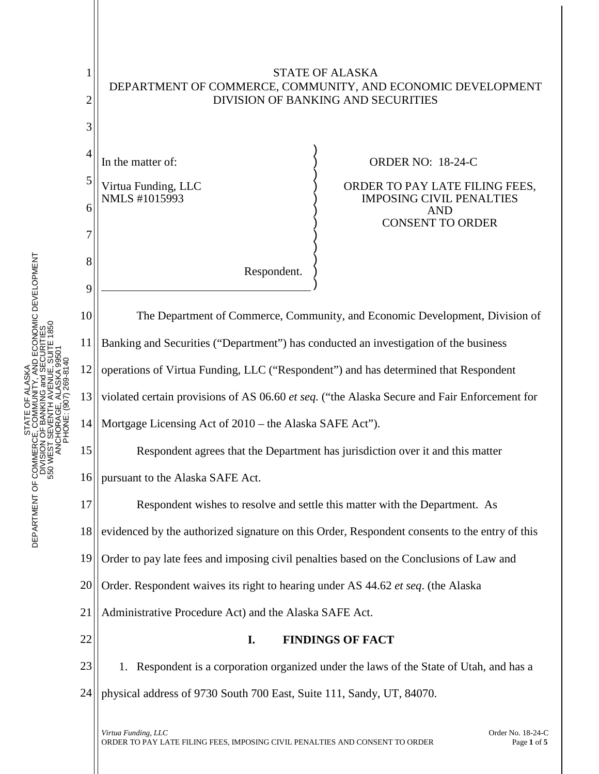

STATE OF ALASKA

1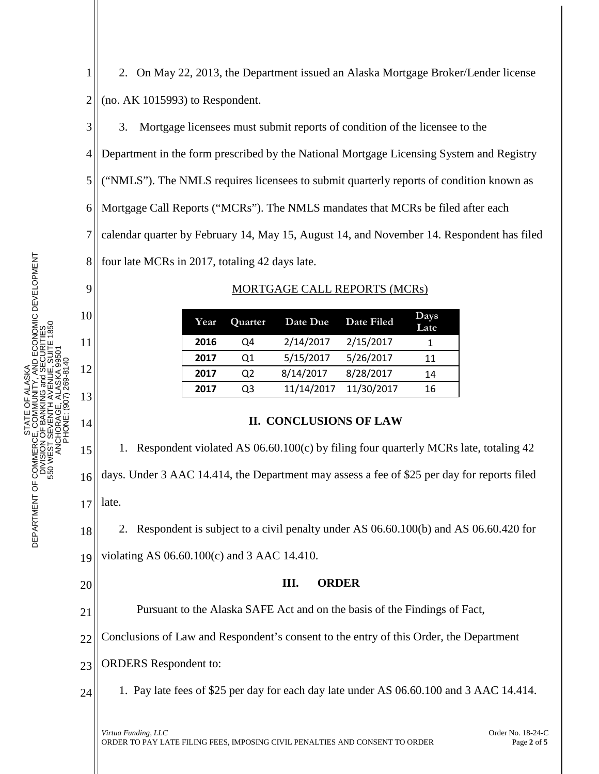3. Mortgage licensees must submit reports of condition of the licensee to the

4 Department in the form prescribed by the National Mortgage Licensing System and Registry

5 ("NMLS"). The NMLS requires licensees to submit quarterly reports of condition known as

Mortgage Call Reports ("MCRs"). The NMLS mandates that MCRs be filed after each

calendar quarter by February 14, May 15, August 14, and November 14. Respondent has filed

8 four late MCRs in 2017, totaling 42 days late.

## MORTGAGE CALL REPORTS (MCRs)

| Year | Quarter | Date Due   | Date Filed | Days<br>Late |
|------|---------|------------|------------|--------------|
| 2016 | Q4      | 2/14/2017  | 2/15/2017  |              |
| 2017 | 01      | 5/15/2017  | 5/26/2017  | 11           |
| 2017 | Q2      | 8/14/2017  | 8/28/2017  | 14           |
| 2017 | O3      | 11/14/2017 | 11/30/2017 | 16           |

## **II. CONCLUSIONS OF LAW**

15 16 17 1. Respondent violated AS 06.60.100(c) by filing four quarterly MCRs late, totaling 42 days. Under 3 AAC 14.414, the Department may assess a fee of \$25 per day for reports filed late.

18 19 2. Respondent is subject to a civil penalty under AS 06.60.100(b) and AS 06.60.420 for violating AS 06.60.100(c) and 3 AAC 14.410.

## **III. ORDER**

21 Pursuant to the Alaska SAFE Act and on the basis of the Findings of Fact,

22 Conclusions of Law and Respondent's consent to the entry of this Order, the Department

23 ORDERS Respondent to:

24 1. Pay late fees of \$25 per day for each day late under AS 06.60.100 and 3 AAC 14.414.

3

6

7

9

10

11

12

13

14

20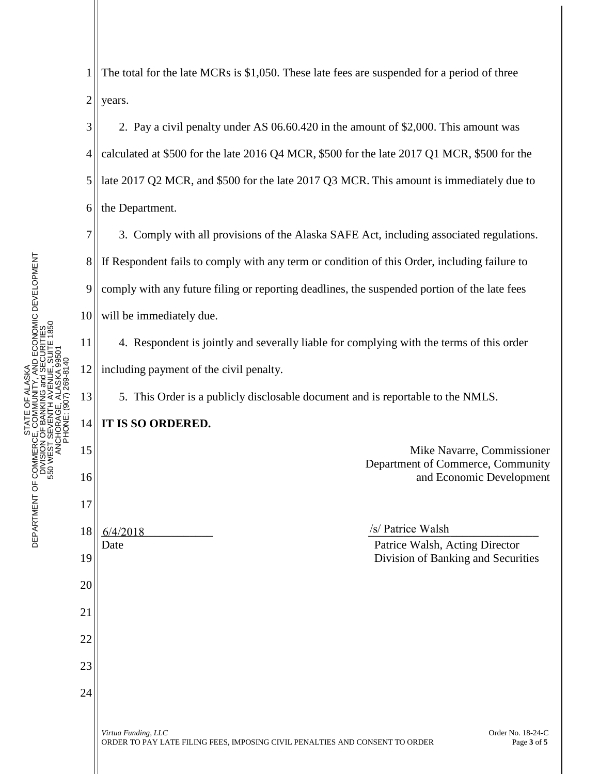UNITY, AND ECONOMIC DEVELOPMENT<br>NG and SECURITIES<br>AVENUE, SUITE 1850 DEPARTMENT OF COMMERCE, COMMUNITY, AND ECONOMIC DEVELOPMENT 550 WEST SEVENTH AVENUE, SUITE 1850 DIVISION OF BANKING and SECURITIES ANCHORAGE, ALASKA 99501 PHONE: (907) 269-8140 ALASKA STATE OF ALASKA ŏ **STATE**<br>DEPARTMENT OF COMMERCE, COMM<br>DIVISION OF BAN<br>DIVISION OF BAN<br>SO WEST SEVENT

13

15

16

17

18

19

20

21

22

23

24

1 2 The total for the late MCRs is \$1,050. These late fees are suspended for a period of three years.

3 4 5 6 2. Pay a civil penalty under AS 06.60.420 in the amount of \$2,000. This amount was calculated at \$500 for the late 2016 Q4 MCR, \$500 for the late 2017 Q1 MCR, \$500 for the late 2017 Q2 MCR, and \$500 for the late 2017 Q3 MCR. This amount is immediately due to the Department.

7 8 9 10 3. Comply with all provisions of the Alaska SAFE Act, including associated regulations. If Respondent fails to comply with any term or condition of this Order, including failure to comply with any future filing or reporting deadlines, the suspended portion of the late fees will be immediately due.

11 12 4. Respondent is jointly and severally liable for complying with the terms of this order including payment of the civil penalty.

5. This Order is a publicly disclosable document and is reportable to the NMLS.

14 **IT IS SO ORDERED.**

> Mike Navarre, Commissioner Department of Commerce, Community and Economic Development

 $\frac{6}{4/2018}$  /s/ Patrice Walsh Date **Patrice Walsh, Acting Director** Division of Banking and Securities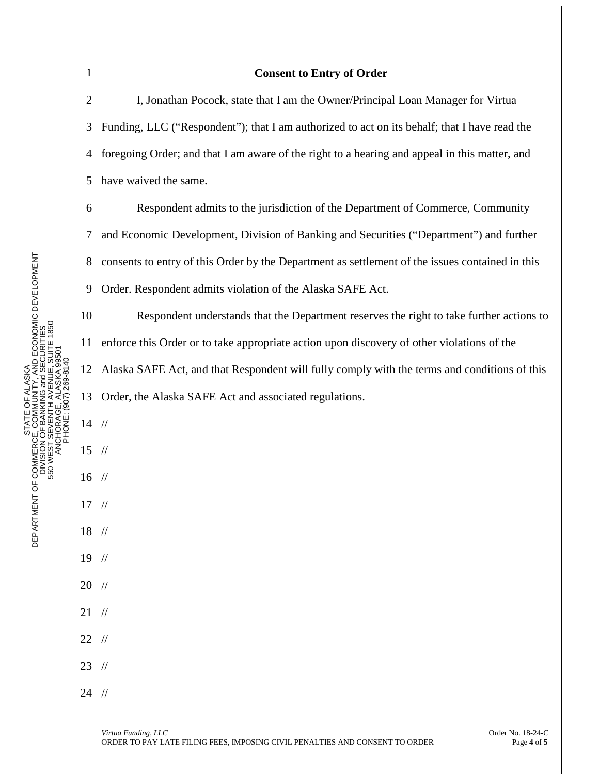| $\mathbf 1$    | <b>Consent to Entry of Order</b>                                                                                                        |  |  |  |
|----------------|-----------------------------------------------------------------------------------------------------------------------------------------|--|--|--|
| $\overline{c}$ | I, Jonathan Pocock, state that I am the Owner/Principal Loan Manager for Virtua                                                         |  |  |  |
| 3              | Funding, LLC ("Respondent"); that I am authorized to act on its behalf; that I have read the                                            |  |  |  |
| 4              | foregoing Order; and that I am aware of the right to a hearing and appeal in this matter, and                                           |  |  |  |
| 5              | have waived the same.                                                                                                                   |  |  |  |
| 6              | Respondent admits to the jurisdiction of the Department of Commerce, Community                                                          |  |  |  |
| 7              | and Economic Development, Division of Banking and Securities ("Department") and further                                                 |  |  |  |
| 8              | consents to entry of this Order by the Department as settlement of the issues contained in this                                         |  |  |  |
| 9              | Order. Respondent admits violation of the Alaska SAFE Act.                                                                              |  |  |  |
| 10             | Respondent understands that the Department reserves the right to take further actions to                                                |  |  |  |
| 11             | enforce this Order or to take appropriate action upon discovery of other violations of the                                              |  |  |  |
| 12             | Alaska SAFE Act, and that Respondent will fully comply with the terms and conditions of this                                            |  |  |  |
| 13             | Order, the Alaska SAFE Act and associated regulations.                                                                                  |  |  |  |
| 14             |                                                                                                                                         |  |  |  |
| 15             |                                                                                                                                         |  |  |  |
| 16             | $\frac{1}{2}$                                                                                                                           |  |  |  |
| 17             | $\sqrt{}$                                                                                                                               |  |  |  |
| 18             |                                                                                                                                         |  |  |  |
| 19             |                                                                                                                                         |  |  |  |
| 20             |                                                                                                                                         |  |  |  |
| 21             |                                                                                                                                         |  |  |  |
| 22             |                                                                                                                                         |  |  |  |
| 23             |                                                                                                                                         |  |  |  |
| 24             |                                                                                                                                         |  |  |  |
|                | Order No. 18-24-C<br>Virtua Funding, LLC<br>ORDER TO PAY LATE FILING FEES, IMPOSING CIVIL PENALTIES AND CONSENT TO ORDER<br>Page 4 of 5 |  |  |  |